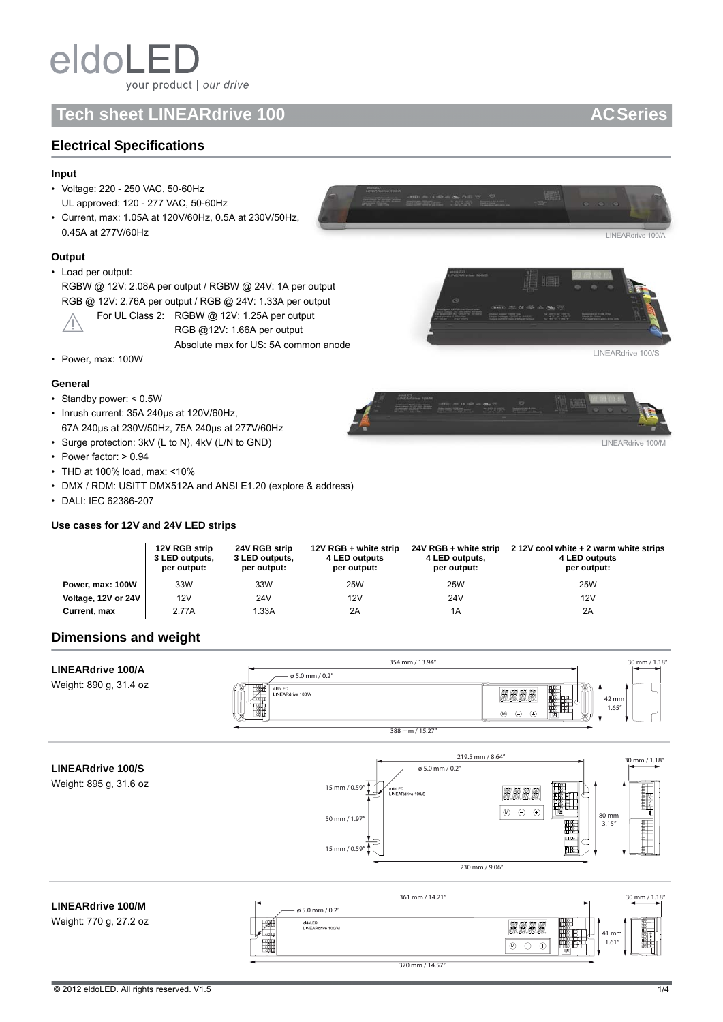# **Tech sheet LINEARdrive 100 AC Series AC Series AC Series**

## **Electrical Specifications**

## **Input**

- Voltage: 220 250 VAC, 50-60Hz UL approved: 120 - 277 VAC, 50-60Hz
- Current, max: 1.05A at 120V/60Hz, 0.5A at 230V/50Hz, 0.45A at 277V/60Hz

## **Output**

## • Load per output:

RGBW @ 12V: 2.08A per output / RGBW @ 24V: 1A per output RGB @ 12V: 2.76A per output / RGB @ 24V: 1.33A per output



For UL Class 2: RGBW @ 12V: 1.25A per output RGB @12V: 1.66A per output Absolute max for US: 5A common anode



LINEARdrive 100/S

LINEARdrive 100

LINEARdrive 100

• Power, max: 100W

## **General**

- Standby power: < 0.5W
- Inrush current: 35A 240μs at 120V/60Hz, 67A 240μs at 230V/50Hz, 75A 240μs at 277V/60Hz
- Surge protection: 3kV (L to N), 4kV (L/N to GND)
- Power factor: > 0.94
- THD at 100% load, max: <10%
- DMX / RDM: USITT DMX512A and ANSI E1.20 (explore & address)
- DALI: IEC 62386-207

## **Use cases for 12V and 24V LED strips**

|                     | 12V RGB strip<br>3 LED outputs,<br>per output: | 24V RGB strip<br>3 LED outputs,<br>per output: | 12V RGB + white strip<br>4 LED outputs<br>per output: | 24V RGB + white strip<br>4 LED outputs,<br>per output: | 212V cool white + 2 warm white strips<br>4 LED outputs<br>per output: |
|---------------------|------------------------------------------------|------------------------------------------------|-------------------------------------------------------|--------------------------------------------------------|-----------------------------------------------------------------------|
| Power, max: 100W    | 33W                                            | 33W                                            | <b>25W</b>                                            | <b>25W</b>                                             | 25W                                                                   |
| Voltage, 12V or 24V | 12V                                            | 24V                                            | 12V                                                   | 24V                                                    | 12V                                                                   |
| Current, max        | 2.77A                                          | 1.33A                                          | 2A                                                    | 1A                                                     | 2A                                                                    |

## **Dimensions and weight**

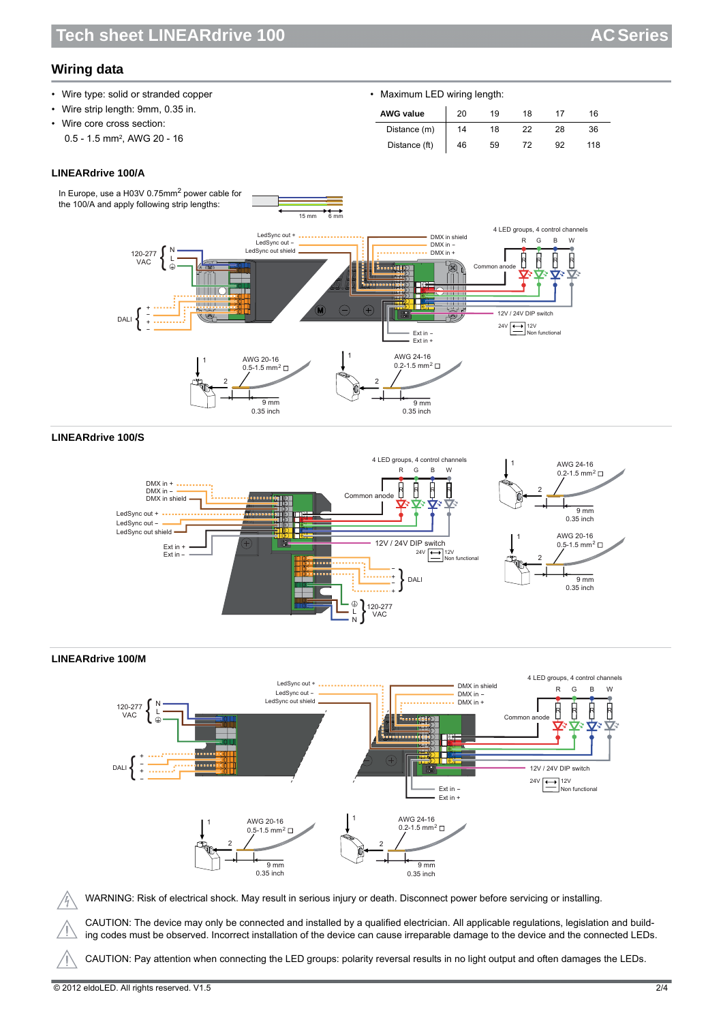# **Wiring data**

| • Wire type: solid or stranded copper   | • Maximum LED wiring length: |    |    |    |    |     |  |
|-----------------------------------------|------------------------------|----|----|----|----|-----|--|
| • Wire strip length: 9mm, 0.35 in.      | <b>AWG value</b>             | 20 | 19 | 18 |    | 16  |  |
| • Wire core cross section:              | Distance (m)                 | 14 | 18 | 22 | 28 | 36  |  |
| 0.5 - 1.5 mm <sup>2</sup> , AWG 20 - 16 | Distance (ft)                | 46 | 59 | 72 | 92 | 118 |  |

## **LINEARdrive 100/A**



## **LINEARdrive 100/S**



## **LINEARdrive 100/M**



WARNING: Risk of electrical shock. May result in serious injury or death. Disconnect power before servicing or installing.

CAUTION: The device may only be connected and installed by a qualified electrician. All applicable regulations, legislation and building codes must be observed. Incorrect installation of the device can cause irreparable damage to the device and the connected LEDs.

CAUTION: Pay attention when connecting the LED groups: polarity reversal results in no light output and often damages the LEDs.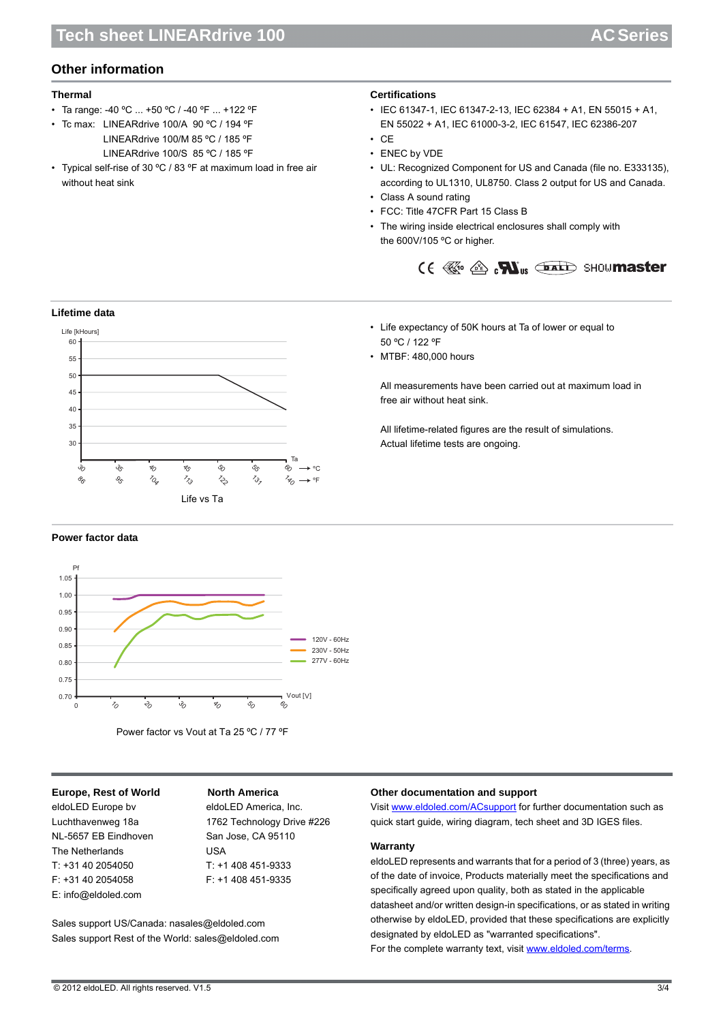# **Other information**

## **Thermal**

- Ta range: -40 ºC ... +50 ºC / -40 ºF ... +122 ºF
- Tc max: LINEARdrive 100/A 90 ºC / 194 ºF LINEARdrive 100/M 85 ºC / 185 ºF LINEARdrive 100/S 85 ºC / 185 ºF
- Typical self-rise of 30 ºC / 83 ºF at maximum load in free air without heat sink

## **Certifications**

- IEC 61347-1, IEC 61347-2-13, IEC 62384 + A1, EN 55015 + A1, EN 55022 + A1, IEC 61000-3-2, IEC 61547, IEC 62386-207
- CE
- ENEC by VDE
- UL: Recognized Component for US and Canada (file no. E333135), according to UL1310, UL8750. Class 2 output for US and Canada.
- Class A sound rating

50 ºC / 122 ºF • MTBF: 480,000 hours

free air without heat sink.

Actual lifetime tests are ongoing.

- FCC: Title 47CFR Part 15 Class B
- The wiring inside electrical enclosures shall comply with the 600V/105 ºC or higher.

• Life expectancy of 50K hours at Ta of lower or equal to

All measurements have been carried out at maximum load in

All lifetime-related figures are the result of simulations.



## **Lifetime data**



## **Power factor data**



Power factor vs Vout at Ta 25 ºC / 77 ºF

## **Europe, Rest of World North America**

eldoLED Europe bv eldoLED America, Inc. NL-5657 EB Eindhoven San Jose, CA 95110 The Netherlands **USA** T: +31 40 2054050 T: +1 408 451-9333 F: +31 40 2054058 F: +1 408 451-9335 E: info@eldoled.com

Luchthavenweg 18a 1762 Technology Drive #226

Sales support US/Canada: nasales@eldoled.com Sales support Rest of the World: sales@eldoled.com

# **Other documentation and support**

Visit www.eldoled.com/ACsupport for further documentation such as quick start guide, wiring diagram, tech sheet and 3D IGES files.

#### **Warranty**

eldoLED represents and warrants that for a period of 3 (three) years, as of the date of invoice, Products materially meet the specifications and specifically agreed upon quality, both as stated in the applicable datasheet and/or written design-in specifications, or as stated in writing otherwise by eldoLED, provided that these specifications are explicitly designated by eldoLED as "warranted specifications". For the complete warranty text, visit www.eldoled.com/terms.